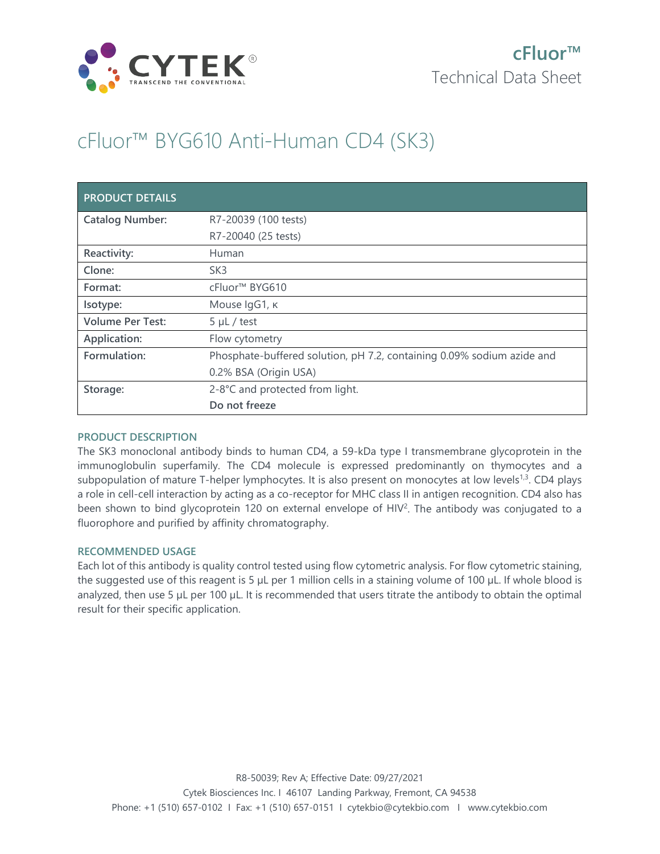

# cFluor™ BYG610 Anti-Human CD4 (SK3)

| <b>PRODUCT DETAILS</b>  |                                                                        |
|-------------------------|------------------------------------------------------------------------|
| <b>Catalog Number:</b>  | R7-20039 (100 tests)                                                   |
|                         | R7-20040 (25 tests)                                                    |
| Reactivity:             | Human                                                                  |
| Clone:                  | SK <sub>3</sub>                                                        |
| Format:                 | cFluor <sup>™</sup> BYG610                                             |
| Isotype:                | Mouse IgG1, к                                                          |
| <b>Volume Per Test:</b> | $5 \mu L$ / test                                                       |
| Application:            | Flow cytometry                                                         |
| Formulation:            | Phosphate-buffered solution, pH 7.2, containing 0.09% sodium azide and |
|                         | 0.2% BSA (Origin USA)                                                  |
| Storage:                | 2-8°C and protected from light.                                        |
|                         | Do not freeze                                                          |

### **PRODUCT DESCRIPTION**

The SK3 monoclonal antibody binds to human CD4, a 59-kDa type I transmembrane glycoprotein in the immunoglobulin superfamily. The CD4 molecule is expressed predominantly on thymocytes and a subpopulation of mature T-helper lymphocytes. It is also present on monocytes at low levels<sup>1,3</sup>. CD4 plays a role in cell-cell interaction by acting as a co-receptor for MHC class II in antigen recognition. CD4 also has been shown to bind glycoprotein 120 on external envelope of HIV<sup>2</sup>. The antibody was conjugated to a fluorophore and purified by affinity chromatography.

### **RECOMMENDED USAGE**

Each lot of this antibody is quality control tested using flow cytometric analysis. For flow cytometric staining, the suggested use of this reagent is 5 µL per 1 million cells in a staining volume of 100 µL. If whole blood is analyzed, then use 5 µL per 100 µL. It is recommended that users titrate the antibody to obtain the optimal result for their specific application.